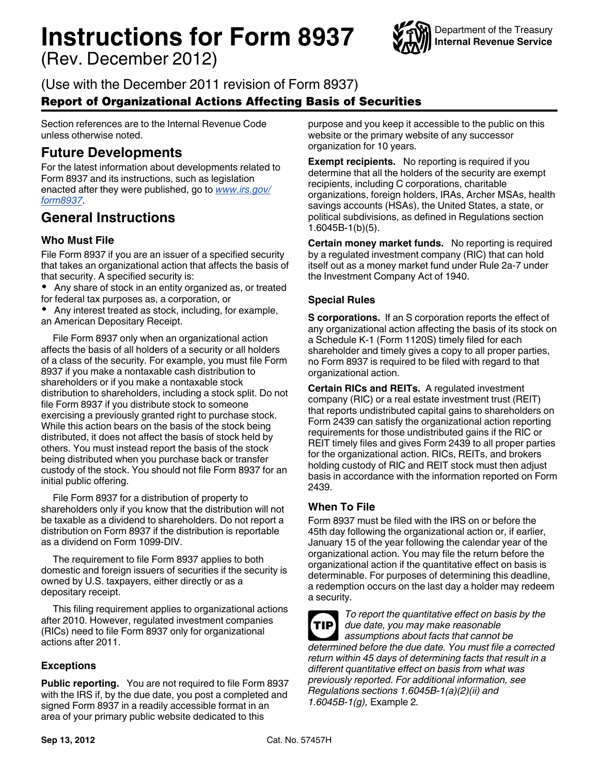# **Instructions for Form 8937**

(Rev. December 2012)



(Use with the December 2011 revision of Form 8937)

# Report of Organizational Actions Affecting Basis of Securities

Section references are to the Internal Revenue Code unless otherwise noted.

# **Future Developments**

For the latest information about developments related to Form 8937 and its instructions, such as legislation enacted after they were published, go to *[www.irs.gov/](http://www.irs.gov/form8937) [form8937](http://www.irs.gov/form8937)*.

# **General Instructions**

## **Who Must File**

File Form 8937 if you are an issuer of a specified security that takes an organizational action that affects the basis of that security. A specified security is:

- Any share of stock in an entity organized as, or treated for federal tax purposes as, a corporation, or
- 
- Any interest treated as stock, including, for example,

an American Depositary Receipt.

File Form 8937 only when an organizational action affects the basis of all holders of a security or all holders of a class of the security. For example, you must file Form 8937 if you make a nontaxable cash distribution to shareholders or if you make a nontaxable stock distribution to shareholders, including a stock split. Do not file Form 8937 if you distribute stock to someone exercising a previously granted right to purchase stock. While this action bears on the basis of the stock being distributed, it does not affect the basis of stock held by others. You must instead report the basis of the stock being distributed when you purchase back or transfer custody of the stock. You should not file Form 8937 for an initial public offering.

File Form 8937 for a distribution of property to shareholders only if you know that the distribution will not be taxable as a dividend to shareholders. Do not report a distribution on Form 8937 if the distribution is reportable as a dividend on Form 1099-DIV.

The requirement to file Form 8937 applies to both domestic and foreign issuers of securities if the security is owned by U.S. taxpayers, either directly or as a depositary receipt.

This filing requirement applies to organizational actions after 2010. However, regulated investment companies (RICs) need to file Form 8937 only for organizational actions after 2011.

## **Exceptions**

**Public reporting.** You are not required to file Form 8937 with the IRS if, by the due date, you post a completed and signed Form 8937 in a readily accessible format in an area of your primary public website dedicated to this

purpose and you keep it accessible to the public on this website or the primary website of any successor organization for 10 years.

**Exempt recipients.** No reporting is required if you determine that all the holders of the security are exempt recipients, including C corporations, charitable organizations, foreign holders, IRAs, Archer MSAs, health savings accounts (HSAs), the United States, a state, or political subdivisions, as defined in Regulations section 1.6045B-1(b)(5).

**Certain money market funds.** No reporting is required by a regulated investment company (RIC) that can hold itself out as a money market fund under Rule 2a-7 under the Investment Company Act of 1940.

## **Special Rules**

**S corporations.** If an S corporation reports the effect of any organizational action affecting the basis of its stock on a Schedule K-1 (Form 1120S) timely filed for each shareholder and timely gives a copy to all proper parties, no Form 8937 is required to be filed with regard to that organizational action.

**Certain RICs and REITs.** A regulated investment company (RIC) or a real estate investment trust (REIT) that reports undistributed capital gains to shareholders on Form 2439 can satisfy the organizational action reporting requirements for those undistributed gains if the RIC or REIT timely files and gives Form 2439 to all proper parties for the organizational action. RICs, REITs, and brokers holding custody of RIC and REIT stock must then adjust basis in accordance with the information reported on Form 2439.

# **When To File**

Form 8937 must be filed with the IRS on or before the 45th day following the organizational action or, if earlier, January 15 of the year following the calendar year of the organizational action. You may file the return before the organizational action if the quantitative effect on basis is determinable. For purposes of determining this deadline, a redemption occurs on the last day a holder may redeem a security.

*To report the quantitative effect on basis by the due date, you may make reasonable assumptions about facts that cannot be determined before the due date. You must file a corrected return within 45 days of determining facts that result in a different quantitative effect on basis from what was previously reported. For additional information, see Regulations sections 1.6045B-1(a)(2)(ii) and 1.6045B-1(g),* Example 2*.* **TIP**